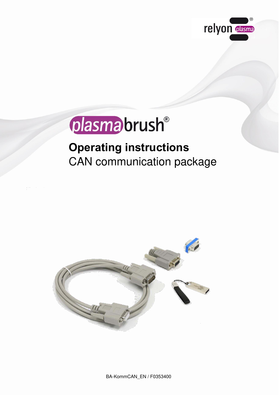

# plasma brush®

## **Operating instructions** CAN communication package



BA-KommCAN\_EN / F0353400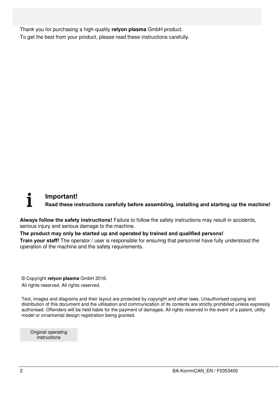Thank you for purchasing a high-quality **relyon plasma** GmbH product. To get the best from your product, please read these instructions carefully.

### **Important! Read these instructions carefully before assembling, installing and starting up the machine!**

**Always follow the safety instructions!** Failure to follow the safety instructions may result in accidents, serious injury and serious damage to the machine.

#### **The product may only be started up and operated by trained and qualified persons!**

**Train your staff!** The operator / user is responsible for ensuring that personnel have fully understood the operation of the machine and the safety requirements.

© Copyright **relyon plasma** GmbH 2016.

All rights reserved. All rights reserved.

Text, images and diagrams and their layout are protected by copyright and other laws. Unauthorised copying and distribution of this document and the utilisation and communication of its contents are strictly prohibited unless expressly authorised. Offenders will be held liable for the payment of damages. All rights reserved in the event of a patent, utility model or ornamental design registration being granted.

Original operating instructions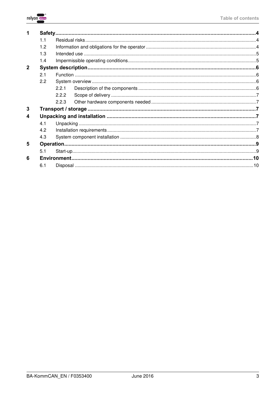

|              | 1 <sub>1</sub> |       |  |  |  |
|--------------|----------------|-------|--|--|--|
|              | 1.2            |       |  |  |  |
|              | 1.3            |       |  |  |  |
|              | 1.4            |       |  |  |  |
| $\mathbf{2}$ |                |       |  |  |  |
|              | 2.1            |       |  |  |  |
|              | 2.2            |       |  |  |  |
|              |                | 2.2.1 |  |  |  |
|              |                | 222   |  |  |  |
|              |                | 2.2.3 |  |  |  |
| 3            |                |       |  |  |  |
| 4            |                |       |  |  |  |
|              | 4.1            |       |  |  |  |
|              | 4.2            |       |  |  |  |
|              | 4.3            |       |  |  |  |
| 5            |                |       |  |  |  |
|              | 5.1            |       |  |  |  |
| 6            |                |       |  |  |  |
|              | 6.1            |       |  |  |  |
|              |                |       |  |  |  |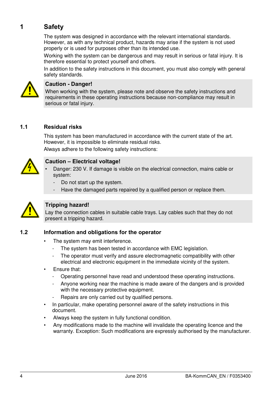#### <span id="page-3-0"></span>**1 Safety**

The system was designed in accordance with the relevant international standards. However, as with any technical product, hazards may arise if the system is not used properly or is used for purposes other than its intended use.

Working with the system can be dangerous and may result in serious or fatal injury. It is therefore essential to protect yourself and others.

In addition to the safety instructions in this document, you must also comply with general safety standards.



#### **Caution - Danger!**

When working with the system, please note and observe the safety instructions and requirements in these operating instructions because non-compliance may result in serious or fatal injury.

#### <span id="page-3-1"></span>**1.1 Residual risks**

This system has been manufactured in accordance with the current state of the art. However, it is impossible to eliminate residual risks.

Always adhere to the following safety instructions:



#### **Caution – Electrical voltage!**

- Danger: 230 V. If damage is visible on the electrical connection, mains cable or system:
	- Do not start up the system.
	- Have the damaged parts repaired by a qualified person or replace them.



#### **Tripping hazard!**

Lay the connection cables in suitable cable trays. Lay cables such that they do not present a tripping hazard.

#### <span id="page-3-2"></span>**1.2 Information and obligations for the operator**

- The system may emit interference.
	- The system has been tested in accordance with EMC legislation.
	- The operator must verify and assure electromagnetic compatibility with other electrical and electronic equipment in the immediate vicinity of the system.
- Ensure that:
	- Operating personnel have read and understood these operating instructions.
	- Anyone working near the machine is made aware of the dangers and is provided with the necessary protective equipment.
	- Repairs are only carried out by qualified persons.
- In particular, make operating personnel aware of the safety instructions in this document.
- Always keep the system in fully functional condition.
- Any modifications made to the machine will invalidate the operating licence and the warranty. Exception: Such modifications are expressly authorised by the manufacturer.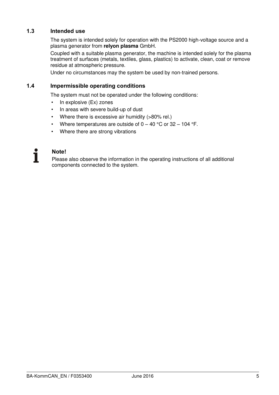#### <span id="page-4-0"></span>**1.3 Intended use**

The system is intended solely for operation with the PS2000 high-voltage source and a plasma generator from **relyon plasma** GmbH.

Coupled with a suitable plasma generator, the machine is intended solely for the plasma treatment of surfaces (metals, textiles, glass, plastics) to activate, clean, coat or remove residue at atmospheric pressure.

Under no circumstances may the system be used by non-trained persons.

#### <span id="page-4-1"></span>**1.4 Impermissible operating conditions**

The system must not be operated under the following conditions:

- In explosive (Ex) zones
- In areas with severe build-up of dust
- Where there is excessive air humidity (>80% rel.)
- Where temperatures are outside of  $0 40$  °C or 32 104 °F.
- Where there are strong vibrations

#### **Note!**

Please also observe the information in the operating instructions of all additional components connected to the system.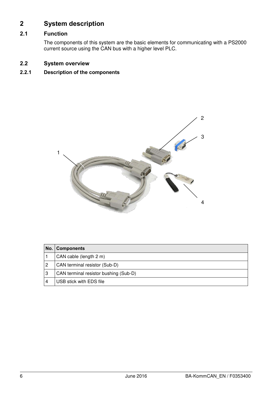#### <span id="page-5-0"></span>**2 System description**

#### <span id="page-5-1"></span>**2.1 Function**

The components of this system are the basic elements for communicating with a PS2000 current source using the CAN bus with a higher level PLC.

#### <span id="page-5-2"></span>**2.2 System overview**

#### <span id="page-5-3"></span>**2.2.1 Description of the components**



|   | No.   Components                      |
|---|---------------------------------------|
|   | CAN cable (length 2 m)                |
| 2 | CAN terminal resistor (Sub-D)         |
| 3 | CAN terminal resistor bushing (Sub-D) |
|   | USB stick with EDS file               |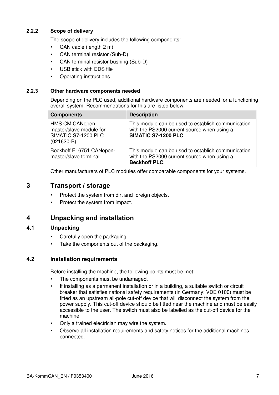#### <span id="page-6-0"></span>**2.2.2 Scope of delivery**

The scope of delivery includes the following components:

- CAN cable (length 2 m)
- CAN terminal resistor (Sub-D)
- CAN terminal resistor bushing (Sub-D)
- USB stick with EDS file
- Operating instructions

#### <span id="page-6-1"></span>**2.2.3 Other hardware components needed**

Depending on the PLC used, additional hardware components are needed for a functioning overall system. Recommendations for this are listed below.

| <b>Components</b>                                                                 | <b>Description</b>                                                                                                        |
|-----------------------------------------------------------------------------------|---------------------------------------------------------------------------------------------------------------------------|
| HMS CM CANopen-<br>master/slave module for<br>SIMATIC S7-1200 PLC<br>$(021620-B)$ | This module can be used to establish communication<br>with the PS2000 current source when using a<br>SIMATIC S7-1200 PLC. |
| Beckhoff EL6751 CANopen-<br>master/slave terminal                                 | This module can be used to establish communication<br>with the PS2000 current source when using a<br><b>Beckhoff PLC.</b> |

Other manufacturers of PLC modules offer comparable components for your systems.

#### <span id="page-6-2"></span>**3 Transport / storage**

- Protect the system from dirt and foreign objects.
- Protect the system from impact.

#### <span id="page-6-3"></span>**4 Unpacking and installation**

#### <span id="page-6-4"></span>**4.1 Unpacking**

- Carefully open the packaging.
- Take the components out of the packaging.

#### <span id="page-6-5"></span>**4.2 Installation requirements**

Before installing the machine, the following points must be met:

- The components must be undamaged.
- If installing as a permanent installation or in a building, a suitable switch or circuit breaker that satisfies national safety requirements (in Germany: VDE 0100) must be fitted as an upstream all-pole cut-off device that will disconnect the system from the power supply. This cut-off device should be fitted near the machine and must be easily accessible to the user. The switch must also be labelled as the cut-off device for the machine.
- Only a trained electrician may wire the system.
- Observe all installation requirements and safety notices for the additional machines connected.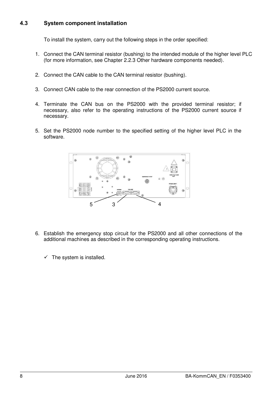#### <span id="page-7-0"></span>**4.3 System component installation**

To install the system, carry out the following steps in the order specified:

- 1. Connect the CAN terminal resistor (bushing) to the intended module of the higher level PLC (for more information, see Chapter [2.2.3 Other hardware components needed\)](#page-6-1).
- 2. Connect the CAN cable to the CAN terminal resistor (bushing).
- 3. Connect CAN cable to the rear connection of the PS2000 current source.
- 4. Terminate the CAN bus on the PS2000 with the provided terminal resistor; if necessary, also refer to the operating instructions of the PS2000 current source if necessary.
- 5. Set the PS2000 node number to the specified setting of the higher level PLC in the software.



- 6. Establish the emergency stop circuit for the PS2000 and all other connections of the additional machines as described in the corresponding operating instructions.
	- $\checkmark$  The system is installed.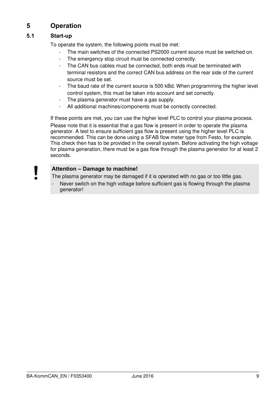#### <span id="page-8-0"></span>**5 Operation**

#### <span id="page-8-1"></span>**5.1 Start-up**

To operate the system, the following points must be met:

- The main switches of the connected PS2000 current source must be switched on.
- The emergency stop circuit must be connected correctly.
- The CAN bus cables must be connected, both ends must be terminated with terminal resistors and the correct CAN bus address on the rear side of the current source must be set.
- The baud rate of the current source is 500 kBd. When programming the higher level control system, this must be taken into account and set correctly.
- The plasma generator must have a gas supply.
- All additional machines/components must be correctly connected.

If these points are met, you can use the higher level PLC to control your plasma process. Please note that it is essential that a gas flow is present in order to operate the plasma generator. A test to ensure sufficient gas flow is present using the higher level PLC is recommended. This can be done using a SFAB flow meter type from Festo, for example. This check then has to be provided in the overall system. Before activating the high voltage for plasma generation, there must be a gas flow through the plasma generator for at least 2 seconds.

#### **Attention – Damage to machine!**

The plasma generator may be damaged if it is operated with no gas or too little gas.

Never switch on the high voltage before sufficient gas is flowing through the plasma generator!